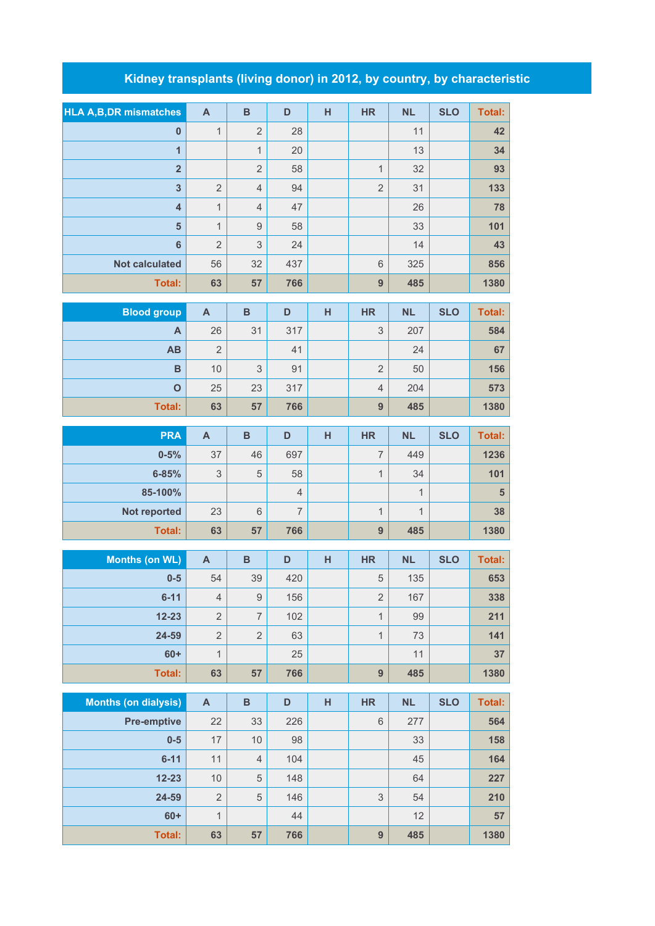## **Kidney transplants (living donor) in 2012, by country, by characteristic**

| <b>HLA A,B,DR mismatches</b> | $\overline{A}$            | $\mathbf B$    | D              | н | <b>HR</b>                 | <b>NL</b>    | <b>SLO</b> | <b>Total:</b> |
|------------------------------|---------------------------|----------------|----------------|---|---------------------------|--------------|------------|---------------|
| $\pmb{0}$                    | $\mathbf{1}$              | $\overline{2}$ | 28             |   |                           | 11           |            | 42            |
| $\overline{1}$               |                           | $\mathbf{1}$   | 20             |   |                           | 13           |            | 34            |
| $\overline{2}$               |                           | $\overline{2}$ | 58             |   | $\mathbf{1}$              | 32           |            | 93            |
| $\overline{\mathbf{3}}$      | $\overline{2}$            | $\overline{4}$ | 94             |   | $\overline{2}$            | 31           |            | 133           |
| $\overline{\mathbf{4}}$      | $\mathbf{1}$              | $\overline{4}$ | 47             |   |                           | 26           |            | 78            |
| $5\phantom{1}$               | $\mathbf{1}$              | $\mathcal{G}$  | 58             |   |                           | 33           |            | 101           |
| $6\phantom{a}$               | $\overline{2}$            | 3              | 24             |   |                           | 14           |            | 43            |
| <b>Not calculated</b>        | 56                        | 32             | 437            |   | 6                         | 325          |            | 856           |
| <b>Total:</b>                | 63                        | 57             | 766            |   | 9                         | 485          |            | 1380          |
|                              |                           |                |                |   |                           |              |            |               |
| <b>Blood group</b>           | $\mathsf{A}$              | $\, {\bf B}$   | D              | H | <b>HR</b>                 | <b>NL</b>    | <b>SLO</b> | <b>Total:</b> |
| A                            | 26                        | 31             | 317            |   | 3                         | 207          |            | 584           |
| AB                           | $\overline{2}$            |                | 41             |   |                           | 24           |            | 67            |
| $\mathbf B$                  | 10                        | 3              | 91             |   | $\overline{2}$            | 50           |            | 156           |
| $\mathbf{o}$                 | 25                        | 23             | 317            |   | $\overline{4}$            | 204          |            | 573           |
| <b>Total:</b>                | 63                        | 57             | 766            |   | 9                         | 485          |            | 1380          |
| <b>PRA</b>                   | $\mathsf{A}$              | $\mathbf B$    | D              | H | <b>HR</b>                 | <b>NL</b>    | <b>SLO</b> | <b>Total:</b> |
| $0 - 5%$                     | 37                        | 46             | 697            |   | $\overline{7}$            | 449          |            | 1236          |
| $6 - 85%$                    | $\mathsf 3$               | 5              | 58             |   | $\mathbf{1}$              | 34           |            | 101           |
| 85-100%                      |                           |                | $\overline{4}$ |   |                           | $\mathbf{1}$ |            | 5             |
| Not reported                 | 23                        | 6              | $\overline{7}$ |   | $\mathbf{1}$              | $\mathbf{1}$ |            | 38            |
| <b>Total:</b>                | 63                        | 57             | 766            |   | 9                         | 485          |            | 1380          |
| <b>Months (on WL)</b>        | $\overline{\mathsf{A}}$   | $\, {\bf B}$   | D              | H | <b>HR</b>                 | <b>NL</b>    | <b>SLO</b> | <b>Total:</b> |
| $0-5$                        | 54                        | 39             | 420            |   | 5                         | 135          |            | 653           |
| $6 - 11$                     | $\overline{4}$            | $\mathcal{G}$  | 156            |   | $\overline{2}$            | 167          |            | 338           |
| $12 - 23$                    | $\overline{2}$            | $\overline{7}$ | 102            |   | $\mathbf{1}$              | 99           |            | 211           |
| 24-59                        | $\sqrt{2}$                | $\sqrt{2}$     | 63             |   | $\mathbf{1}$              | 73           |            | 141           |
| $60+$                        | 1                         |                | 25             |   |                           | 11           |            | 37            |
| Total:                       | 63                        | 57             | 766            |   | $\boldsymbol{9}$          | 485          |            | 1380          |
|                              |                           |                |                |   |                           |              |            |               |
| <b>Months (on dialysis)</b>  | $\boldsymbol{\mathsf{A}}$ | $\, {\bf B}$   | D              | H | <b>HR</b>                 | <b>NL</b>    | <b>SLO</b> | <b>Total:</b> |
| Pre-emptive                  | 22                        | 33             | 226            |   | $\,6$                     | 277          |            | 564           |
| $0-5$                        | 17                        | 10             | 98             |   |                           | 33           |            | 158           |
| $6 - 11$                     | 11                        | $\overline{4}$ | 104            |   |                           | 45           |            | 164           |
| $12 - 23$                    | 10                        | $\,$ 5 $\,$    | 148            |   |                           | 64           |            | 227           |
| 24-59                        | $\overline{2}$            | $\,$ 5 $\,$    | 146            |   | $\ensuremath{\mathsf{3}}$ | 54           |            | 210           |

**60+** 1 44 12 12 57 **Total: 63 57 766 9 485 1380**